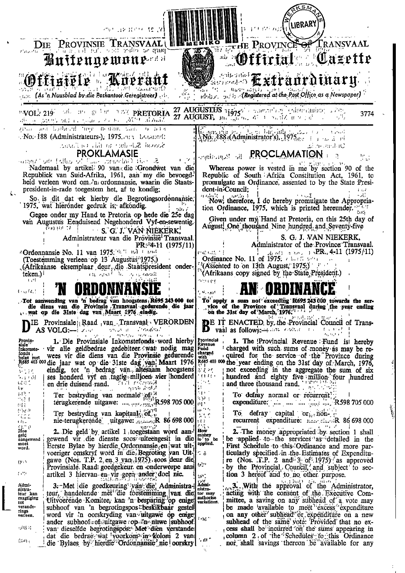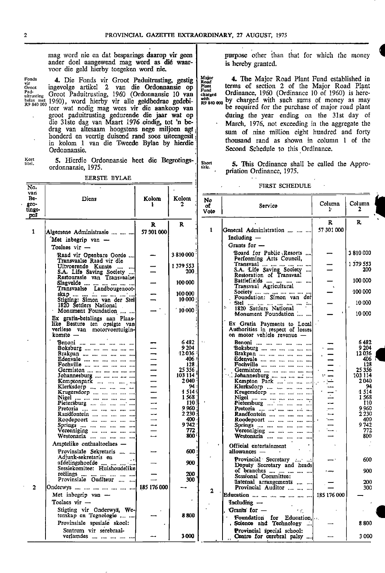ander doel aangewend mag word as dié waar- is hereby granted. voor die geld hierby toegeken word nie.

-

belas met 1960), word hierby vir alle geldbedrae gedebi-  $\frac{10000}{R^9}$  by charged with such sums of money as may  $R^9$  840 000 by charged with such sums of money as may drag van altesaam hoogstens nege miljoen agt in kolom 1 van die Tweede Bylae by hierdie<br>Ordonnansie. •

5. Hierdie Ordonnansie heet die Begrotings-Kort<br>titel. 5. Hierdie Ordonnansie heet die Begrotings-<br>ordonnansie, 1975.

 $\mathbf{I}$ 

 $\mathbf{r}$ 

EERSTE BYLAE

mag word nie en dat besparings daarop vir geen purpose other than that for which the money

Fonds 4. Die Fonds vir Groot Paduitrusting, gestig  $\begin{bmatrix} \text{Major} \\ \text{Road} \\ \text{Plan} \\ \text{Final} \end{bmatrix}$  4. The Major Road Plant Fund established in Ponds<br>
Fonds **4.** Die Fonds vir Groot Paduitrusting, gestig Najor<br>
Groot ingevolge artikel 2 van die Ordonnansie op Plant terms of section 2 of the Major Road Plant<br>
Pad-<br>
Pad-<br>
Pad-<br>
Pad-<br>
Pad-<br>
Pad-<br>
Pad-<br>
Pad-<br>
Pad-<br>
D teer wat nodig mag wees vir die aankoop van be required for the purchase of major road plant groot paduitrusting gedurende die jaar wat op during the year ending on the 31st day of groot paduitrusting gedurende die jaar wat op | during the year ending on the 31st day of die 31ste dag van Maart 1976 eindig, tot 'n be- | March, 1976, not exceeding in the aggregate the  $\frac{1}{10}$  sum of nine million eight hundred and forty honderd en veertig duisend rand soos uiteengesit :  $\frac{1}{10}$  sum of nine million eight hundred and forty thousand rand as shown in column <sup>1</sup> of the Second Schedule to this Ordinance.

> 5. This Ordinance shall be called the Appro- • priation Ordinance, 1975.

#### FIRST SCHEDULE

| No<br>Column<br>Column<br>$gro-$<br>2<br>$\mathbf{r}$<br>Service<br>of<br>2<br>tings-<br>P<br>Vote<br>poš<br>R.<br>R<br>R.<br>R<br>57 301 000<br>$\mathbf{1}$<br>General Administration<br>$\mathbf{1}$<br>57301000<br>Algemene Administrasie    <br>Including $-$<br>Met inbegrip van -<br>Grants for $-$<br>Toelaes vir —<br>Board for Public Resorts<br>3810000<br>3810000<br>Raad vir Openbare Oorde<br>Performing Arts Council,<br>Transvaalse Raad vir die<br>1 379 553<br>Transvaal<br>1 379 553<br>Uitvoerende Kunste<br>200<br>S.A. Life Saving Society<br>200<br>S.A. Life Saving Society<br>Restoration of Transvaal<br>100 000<br>Battlefields<br>100 000<br>Slagvelde<br>Transvaal Agricultural<br>Transvaalse Landbougenoot-<br>$-100000$<br>Society<br>100 000<br>skap<br>Foundation: Simon van der<br>Stigting: Simon van der Stell<br>10 000<br>10 000<br>Stel<br>1820 Settlers National<br>1820 Settlers National<br>10000<br>Monument Foundation<br>10 000<br>Monument Foundation<br>Ex gratia-betalings aan Plaas-<br>like Besture ten opsigte van<br>Ex Gratia Payments to Local<br>verliese van motorvoertuigin-<br>Authorities in respect of losses<br>komste $-$<br>on motor vehicle revenue -<br>6482<br>$\ddotsc$<br>6482<br>Benoni<br>Benoni<br>9 2 0 4<br>9 2 0 4<br>Boksburg<br>Boksburg<br>12036:<br>12036<br>Brakpan<br>Brakpan<br>406!<br>Edenvale        <br>406<br>Edenvale<br>128<br>128<br>Fochville        <br>Fochville<br>25 356<br>25 3 5 6<br>Germiston<br>Germiston      ]<br>103 114<br>Johannesburg<br>103 114<br>Johannesburg       <br>2040<br>2040<br>Kempton Park      <br>Kemptonpark<br>94<br>94<br>Klerksdorp       <br>Klerksdorp<br>1514.<br>4 5 14<br>Krugersdorp<br>Krugersdorp<br>1568<br>1 568<br>Nigel<br>Nigel         <br>110<br>Pietersburg<br>110<br>Pietersburg<br>9 960<br>9 960<br>Pretoria     ;<br>Pretoria   ,<br>2 2 3 0<br>2 2 3 0 .<br>Randfontein     ]<br>Randfontein     ]<br>400<br>400<br>Roodepoort<br>Roodepoort       . '<br>9 742<br>9 742<br>Springs , , , , , ,<br>Springs<br>Vereeniging<br>772<br>772<br>Vereeniging<br>800<br>800<br>Westonaria<br>Westonaria<br>Amptelike onthaaltoelaes -<br>Official entertainment<br>600<br>Provinsiale Sekretaris<br>allowances -<br>Adjunk-sekretaris en<br>Provincial Secretary<br>600<br>900<br>afdelingshoofde<br>Deputy Secretary and heads<br>Sessiekomitee: Huishoudelike<br>900<br>of branches<br>200<br>reëlings        <br>Provinsiale Ouditeur<br>Sessional Committee:<br>300<br>Internal arrangements<br>200<br>$\overline{2}$<br>185 176 000<br><b>Provincial Auditor</b><br> Onderwys         <br>300<br>$\mathbf{2}$<br>Met inbegrip van $-$<br>Education<br>185 176 000<br>Toelaes vir $-$<br>Including $\rightarrow$<br>Stigting vir Onderwys, We-<br>Grants for -<br>۰c.<br>tenskap en Tegnologie<br>8800<br><b>Foundation</b> for Education,<br>Provinsiale spesiale skool:<br>8800<br><b>Science and Technology</b><br>Sentrum vir serebraal-<br>Provincial special school: | van |           |       |       |                           |      |
|---------------------------------------------------------------------------------------------------------------------------------------------------------------------------------------------------------------------------------------------------------------------------------------------------------------------------------------------------------------------------------------------------------------------------------------------------------------------------------------------------------------------------------------------------------------------------------------------------------------------------------------------------------------------------------------------------------------------------------------------------------------------------------------------------------------------------------------------------------------------------------------------------------------------------------------------------------------------------------------------------------------------------------------------------------------------------------------------------------------------------------------------------------------------------------------------------------------------------------------------------------------------------------------------------------------------------------------------------------------------------------------------------------------------------------------------------------------------------------------------------------------------------------------------------------------------------------------------------------------------------------------------------------------------------------------------------------------------------------------------------------------------------------------------------------------------------------------------------------------------------------------------------------------------------------------------------------------------------------------------------------------------------------------------------------------------------------------------------------------------------------------------------------------------------------------------------------------------------------------------------------------------------------------------------------------------------------------------------------------------------------------------------------------------------------------------------------------------------------------------------------------------------------------------------------------------------------------------------------------------------------------------------------------------------------------------------------------------------------------------------------------------------------------------------------------------------------------------------------------------------------------------------------------------------------------------------------------------------------------------------------------------------|-----|-----------|-------|-------|---------------------------|------|
|                                                                                                                                                                                                                                                                                                                                                                                                                                                                                                                                                                                                                                                                                                                                                                                                                                                                                                                                                                                                                                                                                                                                                                                                                                                                                                                                                                                                                                                                                                                                                                                                                                                                                                                                                                                                                                                                                                                                                                                                                                                                                                                                                                                                                                                                                                                                                                                                                                                                                                                                                                                                                                                                                                                                                                                                                                                                                                                                                                                                                           | Be- | Diens     | Kolom | Kolom |                           |      |
|                                                                                                                                                                                                                                                                                                                                                                                                                                                                                                                                                                                                                                                                                                                                                                                                                                                                                                                                                                                                                                                                                                                                                                                                                                                                                                                                                                                                                                                                                                                                                                                                                                                                                                                                                                                                                                                                                                                                                                                                                                                                                                                                                                                                                                                                                                                                                                                                                                                                                                                                                                                                                                                                                                                                                                                                                                                                                                                                                                                                                           |     |           |       |       |                           |      |
|                                                                                                                                                                                                                                                                                                                                                                                                                                                                                                                                                                                                                                                                                                                                                                                                                                                                                                                                                                                                                                                                                                                                                                                                                                                                                                                                                                                                                                                                                                                                                                                                                                                                                                                                                                                                                                                                                                                                                                                                                                                                                                                                                                                                                                                                                                                                                                                                                                                                                                                                                                                                                                                                                                                                                                                                                                                                                                                                                                                                                           |     |           |       |       |                           |      |
|                                                                                                                                                                                                                                                                                                                                                                                                                                                                                                                                                                                                                                                                                                                                                                                                                                                                                                                                                                                                                                                                                                                                                                                                                                                                                                                                                                                                                                                                                                                                                                                                                                                                                                                                                                                                                                                                                                                                                                                                                                                                                                                                                                                                                                                                                                                                                                                                                                                                                                                                                                                                                                                                                                                                                                                                                                                                                                                                                                                                                           |     |           |       |       |                           |      |
|                                                                                                                                                                                                                                                                                                                                                                                                                                                                                                                                                                                                                                                                                                                                                                                                                                                                                                                                                                                                                                                                                                                                                                                                                                                                                                                                                                                                                                                                                                                                                                                                                                                                                                                                                                                                                                                                                                                                                                                                                                                                                                                                                                                                                                                                                                                                                                                                                                                                                                                                                                                                                                                                                                                                                                                                                                                                                                                                                                                                                           |     |           |       |       |                           |      |
|                                                                                                                                                                                                                                                                                                                                                                                                                                                                                                                                                                                                                                                                                                                                                                                                                                                                                                                                                                                                                                                                                                                                                                                                                                                                                                                                                                                                                                                                                                                                                                                                                                                                                                                                                                                                                                                                                                                                                                                                                                                                                                                                                                                                                                                                                                                                                                                                                                                                                                                                                                                                                                                                                                                                                                                                                                                                                                                                                                                                                           |     |           |       |       |                           |      |
|                                                                                                                                                                                                                                                                                                                                                                                                                                                                                                                                                                                                                                                                                                                                                                                                                                                                                                                                                                                                                                                                                                                                                                                                                                                                                                                                                                                                                                                                                                                                                                                                                                                                                                                                                                                                                                                                                                                                                                                                                                                                                                                                                                                                                                                                                                                                                                                                                                                                                                                                                                                                                                                                                                                                                                                                                                                                                                                                                                                                                           |     |           |       |       |                           |      |
|                                                                                                                                                                                                                                                                                                                                                                                                                                                                                                                                                                                                                                                                                                                                                                                                                                                                                                                                                                                                                                                                                                                                                                                                                                                                                                                                                                                                                                                                                                                                                                                                                                                                                                                                                                                                                                                                                                                                                                                                                                                                                                                                                                                                                                                                                                                                                                                                                                                                                                                                                                                                                                                                                                                                                                                                                                                                                                                                                                                                                           |     |           |       |       |                           |      |
|                                                                                                                                                                                                                                                                                                                                                                                                                                                                                                                                                                                                                                                                                                                                                                                                                                                                                                                                                                                                                                                                                                                                                                                                                                                                                                                                                                                                                                                                                                                                                                                                                                                                                                                                                                                                                                                                                                                                                                                                                                                                                                                                                                                                                                                                                                                                                                                                                                                                                                                                                                                                                                                                                                                                                                                                                                                                                                                                                                                                                           |     |           |       |       |                           |      |
|                                                                                                                                                                                                                                                                                                                                                                                                                                                                                                                                                                                                                                                                                                                                                                                                                                                                                                                                                                                                                                                                                                                                                                                                                                                                                                                                                                                                                                                                                                                                                                                                                                                                                                                                                                                                                                                                                                                                                                                                                                                                                                                                                                                                                                                                                                                                                                                                                                                                                                                                                                                                                                                                                                                                                                                                                                                                                                                                                                                                                           |     |           |       |       |                           |      |
|                                                                                                                                                                                                                                                                                                                                                                                                                                                                                                                                                                                                                                                                                                                                                                                                                                                                                                                                                                                                                                                                                                                                                                                                                                                                                                                                                                                                                                                                                                                                                                                                                                                                                                                                                                                                                                                                                                                                                                                                                                                                                                                                                                                                                                                                                                                                                                                                                                                                                                                                                                                                                                                                                                                                                                                                                                                                                                                                                                                                                           |     |           |       |       |                           |      |
|                                                                                                                                                                                                                                                                                                                                                                                                                                                                                                                                                                                                                                                                                                                                                                                                                                                                                                                                                                                                                                                                                                                                                                                                                                                                                                                                                                                                                                                                                                                                                                                                                                                                                                                                                                                                                                                                                                                                                                                                                                                                                                                                                                                                                                                                                                                                                                                                                                                                                                                                                                                                                                                                                                                                                                                                                                                                                                                                                                                                                           |     |           |       |       |                           |      |
|                                                                                                                                                                                                                                                                                                                                                                                                                                                                                                                                                                                                                                                                                                                                                                                                                                                                                                                                                                                                                                                                                                                                                                                                                                                                                                                                                                                                                                                                                                                                                                                                                                                                                                                                                                                                                                                                                                                                                                                                                                                                                                                                                                                                                                                                                                                                                                                                                                                                                                                                                                                                                                                                                                                                                                                                                                                                                                                                                                                                                           |     |           |       |       |                           |      |
|                                                                                                                                                                                                                                                                                                                                                                                                                                                                                                                                                                                                                                                                                                                                                                                                                                                                                                                                                                                                                                                                                                                                                                                                                                                                                                                                                                                                                                                                                                                                                                                                                                                                                                                                                                                                                                                                                                                                                                                                                                                                                                                                                                                                                                                                                                                                                                                                                                                                                                                                                                                                                                                                                                                                                                                                                                                                                                                                                                                                                           |     |           |       |       |                           |      |
|                                                                                                                                                                                                                                                                                                                                                                                                                                                                                                                                                                                                                                                                                                                                                                                                                                                                                                                                                                                                                                                                                                                                                                                                                                                                                                                                                                                                                                                                                                                                                                                                                                                                                                                                                                                                                                                                                                                                                                                                                                                                                                                                                                                                                                                                                                                                                                                                                                                                                                                                                                                                                                                                                                                                                                                                                                                                                                                                                                                                                           |     |           |       |       |                           |      |
|                                                                                                                                                                                                                                                                                                                                                                                                                                                                                                                                                                                                                                                                                                                                                                                                                                                                                                                                                                                                                                                                                                                                                                                                                                                                                                                                                                                                                                                                                                                                                                                                                                                                                                                                                                                                                                                                                                                                                                                                                                                                                                                                                                                                                                                                                                                                                                                                                                                                                                                                                                                                                                                                                                                                                                                                                                                                                                                                                                                                                           |     |           |       |       |                           |      |
|                                                                                                                                                                                                                                                                                                                                                                                                                                                                                                                                                                                                                                                                                                                                                                                                                                                                                                                                                                                                                                                                                                                                                                                                                                                                                                                                                                                                                                                                                                                                                                                                                                                                                                                                                                                                                                                                                                                                                                                                                                                                                                                                                                                                                                                                                                                                                                                                                                                                                                                                                                                                                                                                                                                                                                                                                                                                                                                                                                                                                           |     |           |       |       |                           |      |
|                                                                                                                                                                                                                                                                                                                                                                                                                                                                                                                                                                                                                                                                                                                                                                                                                                                                                                                                                                                                                                                                                                                                                                                                                                                                                                                                                                                                                                                                                                                                                                                                                                                                                                                                                                                                                                                                                                                                                                                                                                                                                                                                                                                                                                                                                                                                                                                                                                                                                                                                                                                                                                                                                                                                                                                                                                                                                                                                                                                                                           |     |           |       |       |                           |      |
|                                                                                                                                                                                                                                                                                                                                                                                                                                                                                                                                                                                                                                                                                                                                                                                                                                                                                                                                                                                                                                                                                                                                                                                                                                                                                                                                                                                                                                                                                                                                                                                                                                                                                                                                                                                                                                                                                                                                                                                                                                                                                                                                                                                                                                                                                                                                                                                                                                                                                                                                                                                                                                                                                                                                                                                                                                                                                                                                                                                                                           |     |           |       |       |                           |      |
|                                                                                                                                                                                                                                                                                                                                                                                                                                                                                                                                                                                                                                                                                                                                                                                                                                                                                                                                                                                                                                                                                                                                                                                                                                                                                                                                                                                                                                                                                                                                                                                                                                                                                                                                                                                                                                                                                                                                                                                                                                                                                                                                                                                                                                                                                                                                                                                                                                                                                                                                                                                                                                                                                                                                                                                                                                                                                                                                                                                                                           |     |           |       |       |                           |      |
|                                                                                                                                                                                                                                                                                                                                                                                                                                                                                                                                                                                                                                                                                                                                                                                                                                                                                                                                                                                                                                                                                                                                                                                                                                                                                                                                                                                                                                                                                                                                                                                                                                                                                                                                                                                                                                                                                                                                                                                                                                                                                                                                                                                                                                                                                                                                                                                                                                                                                                                                                                                                                                                                                                                                                                                                                                                                                                                                                                                                                           |     |           |       |       |                           |      |
|                                                                                                                                                                                                                                                                                                                                                                                                                                                                                                                                                                                                                                                                                                                                                                                                                                                                                                                                                                                                                                                                                                                                                                                                                                                                                                                                                                                                                                                                                                                                                                                                                                                                                                                                                                                                                                                                                                                                                                                                                                                                                                                                                                                                                                                                                                                                                                                                                                                                                                                                                                                                                                                                                                                                                                                                                                                                                                                                                                                                                           |     |           |       |       |                           |      |
|                                                                                                                                                                                                                                                                                                                                                                                                                                                                                                                                                                                                                                                                                                                                                                                                                                                                                                                                                                                                                                                                                                                                                                                                                                                                                                                                                                                                                                                                                                                                                                                                                                                                                                                                                                                                                                                                                                                                                                                                                                                                                                                                                                                                                                                                                                                                                                                                                                                                                                                                                                                                                                                                                                                                                                                                                                                                                                                                                                                                                           |     |           |       |       |                           |      |
|                                                                                                                                                                                                                                                                                                                                                                                                                                                                                                                                                                                                                                                                                                                                                                                                                                                                                                                                                                                                                                                                                                                                                                                                                                                                                                                                                                                                                                                                                                                                                                                                                                                                                                                                                                                                                                                                                                                                                                                                                                                                                                                                                                                                                                                                                                                                                                                                                                                                                                                                                                                                                                                                                                                                                                                                                                                                                                                                                                                                                           |     |           |       |       |                           |      |
|                                                                                                                                                                                                                                                                                                                                                                                                                                                                                                                                                                                                                                                                                                                                                                                                                                                                                                                                                                                                                                                                                                                                                                                                                                                                                                                                                                                                                                                                                                                                                                                                                                                                                                                                                                                                                                                                                                                                                                                                                                                                                                                                                                                                                                                                                                                                                                                                                                                                                                                                                                                                                                                                                                                                                                                                                                                                                                                                                                                                                           |     |           |       |       |                           |      |
|                                                                                                                                                                                                                                                                                                                                                                                                                                                                                                                                                                                                                                                                                                                                                                                                                                                                                                                                                                                                                                                                                                                                                                                                                                                                                                                                                                                                                                                                                                                                                                                                                                                                                                                                                                                                                                                                                                                                                                                                                                                                                                                                                                                                                                                                                                                                                                                                                                                                                                                                                                                                                                                                                                                                                                                                                                                                                                                                                                                                                           |     |           |       |       |                           |      |
|                                                                                                                                                                                                                                                                                                                                                                                                                                                                                                                                                                                                                                                                                                                                                                                                                                                                                                                                                                                                                                                                                                                                                                                                                                                                                                                                                                                                                                                                                                                                                                                                                                                                                                                                                                                                                                                                                                                                                                                                                                                                                                                                                                                                                                                                                                                                                                                                                                                                                                                                                                                                                                                                                                                                                                                                                                                                                                                                                                                                                           |     |           |       |       |                           |      |
|                                                                                                                                                                                                                                                                                                                                                                                                                                                                                                                                                                                                                                                                                                                                                                                                                                                                                                                                                                                                                                                                                                                                                                                                                                                                                                                                                                                                                                                                                                                                                                                                                                                                                                                                                                                                                                                                                                                                                                                                                                                                                                                                                                                                                                                                                                                                                                                                                                                                                                                                                                                                                                                                                                                                                                                                                                                                                                                                                                                                                           |     |           |       |       |                           |      |
|                                                                                                                                                                                                                                                                                                                                                                                                                                                                                                                                                                                                                                                                                                                                                                                                                                                                                                                                                                                                                                                                                                                                                                                                                                                                                                                                                                                                                                                                                                                                                                                                                                                                                                                                                                                                                                                                                                                                                                                                                                                                                                                                                                                                                                                                                                                                                                                                                                                                                                                                                                                                                                                                                                                                                                                                                                                                                                                                                                                                                           |     |           |       |       |                           |      |
|                                                                                                                                                                                                                                                                                                                                                                                                                                                                                                                                                                                                                                                                                                                                                                                                                                                                                                                                                                                                                                                                                                                                                                                                                                                                                                                                                                                                                                                                                                                                                                                                                                                                                                                                                                                                                                                                                                                                                                                                                                                                                                                                                                                                                                                                                                                                                                                                                                                                                                                                                                                                                                                                                                                                                                                                                                                                                                                                                                                                                           |     |           |       |       |                           |      |
|                                                                                                                                                                                                                                                                                                                                                                                                                                                                                                                                                                                                                                                                                                                                                                                                                                                                                                                                                                                                                                                                                                                                                                                                                                                                                                                                                                                                                                                                                                                                                                                                                                                                                                                                                                                                                                                                                                                                                                                                                                                                                                                                                                                                                                                                                                                                                                                                                                                                                                                                                                                                                                                                                                                                                                                                                                                                                                                                                                                                                           |     |           |       |       |                           |      |
|                                                                                                                                                                                                                                                                                                                                                                                                                                                                                                                                                                                                                                                                                                                                                                                                                                                                                                                                                                                                                                                                                                                                                                                                                                                                                                                                                                                                                                                                                                                                                                                                                                                                                                                                                                                                                                                                                                                                                                                                                                                                                                                                                                                                                                                                                                                                                                                                                                                                                                                                                                                                                                                                                                                                                                                                                                                                                                                                                                                                                           |     |           |       |       |                           |      |
|                                                                                                                                                                                                                                                                                                                                                                                                                                                                                                                                                                                                                                                                                                                                                                                                                                                                                                                                                                                                                                                                                                                                                                                                                                                                                                                                                                                                                                                                                                                                                                                                                                                                                                                                                                                                                                                                                                                                                                                                                                                                                                                                                                                                                                                                                                                                                                                                                                                                                                                                                                                                                                                                                                                                                                                                                                                                                                                                                                                                                           |     |           |       |       |                           |      |
|                                                                                                                                                                                                                                                                                                                                                                                                                                                                                                                                                                                                                                                                                                                                                                                                                                                                                                                                                                                                                                                                                                                                                                                                                                                                                                                                                                                                                                                                                                                                                                                                                                                                                                                                                                                                                                                                                                                                                                                                                                                                                                                                                                                                                                                                                                                                                                                                                                                                                                                                                                                                                                                                                                                                                                                                                                                                                                                                                                                                                           |     |           |       |       |                           |      |
|                                                                                                                                                                                                                                                                                                                                                                                                                                                                                                                                                                                                                                                                                                                                                                                                                                                                                                                                                                                                                                                                                                                                                                                                                                                                                                                                                                                                                                                                                                                                                                                                                                                                                                                                                                                                                                                                                                                                                                                                                                                                                                                                                                                                                                                                                                                                                                                                                                                                                                                                                                                                                                                                                                                                                                                                                                                                                                                                                                                                                           |     |           |       |       |                           |      |
|                                                                                                                                                                                                                                                                                                                                                                                                                                                                                                                                                                                                                                                                                                                                                                                                                                                                                                                                                                                                                                                                                                                                                                                                                                                                                                                                                                                                                                                                                                                                                                                                                                                                                                                                                                                                                                                                                                                                                                                                                                                                                                                                                                                                                                                                                                                                                                                                                                                                                                                                                                                                                                                                                                                                                                                                                                                                                                                                                                                                                           |     | verlamdes |       | 3000  | Centre for cerebral palsy | 3000 |

 $\overline{No.}$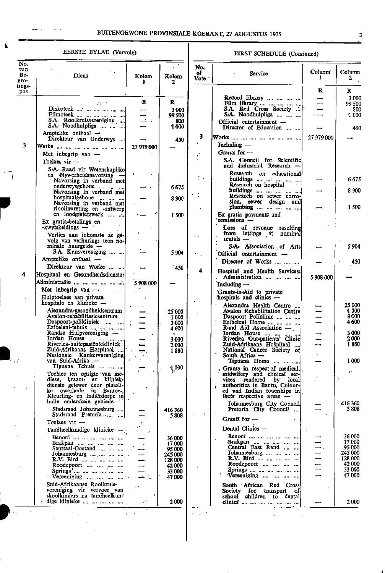# BUITENGEWONE PROVINSIALE KOERANT, 27 AUGUSTUS 1975

 $\alpha$  ,  $\beta$ 

## EERSTE BYLAE (Vervolg)

| No.<br>van<br>Be-<br>gro-<br>tings-<br>pos | Diens                                                                                                                                                                          | Kolom<br>ħ      | Kolom<br>2                                                        |
|--------------------------------------------|--------------------------------------------------------------------------------------------------------------------------------------------------------------------------------|-----------------|-------------------------------------------------------------------|
|                                            | zέ<br>Diskoteek<br>Filmoteek<br>S.A. Rooikruisvereniging<br><br>S.A. Noodhulpliga                                                                                              | R               | R<br>3000<br>99 500<br>800<br>1000                                |
| 3                                          | Amptelike onthaal $-$<br>Direkteur van Onderwys<br>Werke<br><br><br>Met inbegrip van<br>Toelaes vir —                                                                          | 27 979 000      | 450                                                               |
|                                            | S.A. Raad vir Wetenskaplike<br>en Nywerheidsnavorsing<br>Navorsing in verband met<br>onderwysgeboue<br>Navorsing in verband met                                                |                 | 6675                                                              |
|                                            | hospitaalgeboue<br>Navorsing in verband met<br>rioolinvreting en -ontwerp<br>en loodgieterswerk                                                                                |                 | 8900                                                              |
|                                            | and in<br>$\ddotsc$<br>Ex gratia-betalings en<br>-kwytskeldings -<br>Verlies aan inkomste as ge-                                                                               |                 | 1500                                                              |
|                                            | volg van verhurings teen no-<br>minale huurgelde<br>S.A. Kunsvereniging<br>Amptelike onthaal -                                                                                 |                 | 5 904                                                             |
| 4                                          | Direkteur van Werke<br>Hospitaal en Gesondheidsdienste:<br>A'dministrasie                                                                                                      |                 | 450                                                               |
|                                            | Met inbegrip van $-$<br>Hulptoelaes aan private<br>hospitale en klinieke                                                                                                       | 5 908 000<br>Ţ. |                                                                   |
|                                            | Alexandra-gesondheidsentrum<br>Avalon-rehabilitasiesentrum<br>Daspoort-polikliniek<br>$\cdots$<br>Ezibeleni-tehuis<br>$\cdots$<br>Randse Hulpvereniging                        |                 | 25 000<br>-1 000<br>3 000<br>4600                                 |
|                                            | Jordan House<br>Riverlea-buitepasiëntekliniek<br>Zuid-Afrikaans Hospitaal<br>$\cdots$<br>Nasionale Kankervereniging!<br>van Suid-Afrika -                                      |                 | 3 000<br>2 000<br>1 880                                           |
|                                            | Tipuana Tehuis<br>Toelaes ten opsigte van me-<br>diese, kraam en kliniek-<br>dienste gelewer deur plaasli-<br>owerhede<br>ke<br>iņ<br>Bantoe-,<br>Kleurling- en Indiërdorpe in |                 | 1,000                                                             |
|                                            | hulle onderskeie gebiede<br>Stadsraad Johannesburg<br>Stadsraad Pretoria                                                                                                       |                 | 416 360<br>5808                                                   |
|                                            | Toelaes vir<br>Tandheelkundige klinieke<br>Вепопі                                                                                                                              |                 | 36 000                                                            |
|                                            | Brakpan<br><br>Sentraal-Oosrand<br><br>Johannesburg<br>R.V. Bird<br>Roodepoort<br>Springs                                                                                      |                 | 17 000<br>95 000<br>245 000<br>128 000<br>42 000<br><b>33 000</b> |
|                                            | Vereeniging<br>Suid-Afrikaanse Rooikruis-<br>vereniging vir vervoer<br>van<br>skoolkinders na tandheelkun-<br>dige klinieke                                                    |                 | 47.000<br>2 000                                                   |

## FIRST SCHEDULE (Continued)

| No.        |                                                           |             |                   |
|------------|-----------------------------------------------------------|-------------|-------------------|
| оf<br>Vote | Service                                                   | Column<br>1 | Column<br>2       |
|            |                                                           | R           | R                 |
|            | Record library<br>                                        |             | 3 000             |
|            | Film library<br>S.A. Red Cross Society<br><br>$\ddotsc$   |             | 99 500<br>800     |
|            | S.A. Noodhulpliga                                         |             | 1 000             |
|            | Official entertainment -<br>Director of Education         |             | 450               |
| 3          | Works                                                     | 27 979 000  |                   |
|            | Including -                                               |             |                   |
|            | Grants for $-$<br>S.A. Council for Scientific             |             |                   |
|            | and<br>Industrial Research                                |             |                   |
|            | Research on educational<br>buildings                      |             | 6675              |
|            | Research on hospital                                      |             |                   |
|            | buildings<br>$\cdots$<br>Research on sewer corro-         |             | 8 900             |
|            | sion, sewer design<br>and                                 |             | 1 500             |
|            | plumbing<br>                                              |             |                   |
|            | Ex gratia payments and<br>remissions $\frac{1}{2}$        |             |                   |
|            | Loss of revenue resulting<br>from lettings at<br>nominal  |             |                   |
|            | rentals -                                                 |             |                   |
|            | S.A. Association of Arts                                  |             | 5904              |
|            | Official entertainment                                    |             |                   |
|            | Director of Works                                         |             | 450               |
|            | Hospital and Health Services:<br>Administration           | 5 908 000   |                   |
|            | Including $\rightarrow$                                   |             |                   |
|            | Grants-in-Aid to private<br>hospitals and clinics -       |             |                   |
|            | Alexandra Health Centre                                   |             | 25 000            |
|            | Avalon Rehabilitation Centre<br>Daspoort Policlinic       |             | VI 000<br>3 000   |
|            | Ezibeleni Home                                            |             | 4600              |
|            | Rand Aid Association -<br>Jordan House                    |             | 3000              |
|            | Riverlea Out-patients' Clinic                             |             | 2 000<br>1 880    |
|            | Zuid-Afrikaans Hospitaal<br>National Cancer Society of    |             |                   |
|            | South Africa —<br>Tipuana Home                            |             | 1000              |
|            | ma inn chai<br>Grants in respect of medical,              |             |                   |
|            | midwifery and clinical ser-<br>vices rendered by local    |             | f s               |
|            | authorities in Bantu, Colour-<br>¢.                       |             |                   |
|            | ed and Indian townships in<br>their respective areas      |             |                   |
|            | Johannesburg City Council                                 |             | 416 360<br>5 808  |
|            | Pretoria City Council<br>Grants for —                     |             |                   |
|            | Dental Clinics                                            |             |                   |
|            | <b>Benoni</b>                                             |             | 36 000            |
|            | Brakpan<br>Central East Rand<br>$\sim$                    |             | 17 000<br>95 000  |
|            | Johannesburg                                              |             | 245 000           |
|            | R.V. Bird<br>Roodepoort<br>                               |             | 128 000<br>42 000 |
| ÷.         | Springs                                                   | Ξ           | 33 000            |
|            | Vereeniging                                               |             | 47000             |
|            | Red<br>South African<br>Cross<br>Society for transport of |             |                   |
|            | school children to dental                                 |             |                   |
|            | dinics                                                    |             | 2000              |

 $\hat{\mathcal{L}}$ 

 $\hat{\mathcal{A}}$ 

 $\overline{\mathbf{3}}$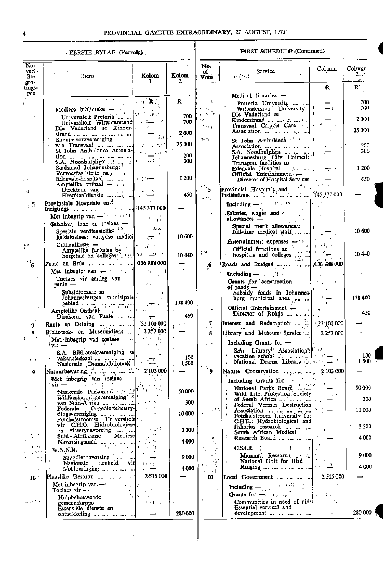## EERSTE BYLAE (Vervolg)

## **FIRST SCHEDULE (Continued)**

والتواب

| No.<br>van ·<br>Be-                            | Diens                                                                                                                                                                                                                                                                                                                       | Kolom                                               | Kolom         | No.<br>оf<br>Vote                | Service<br>÷r.<br>والأروالي والمناقبة                                                                                                                               | Column<br>1                                                                                | Column<br>$2 -$<br>$\sim 5-10$ |
|------------------------------------------------|-----------------------------------------------------------------------------------------------------------------------------------------------------------------------------------------------------------------------------------------------------------------------------------------------------------------------------|-----------------------------------------------------|---------------|----------------------------------|---------------------------------------------------------------------------------------------------------------------------------------------------------------------|--------------------------------------------------------------------------------------------|--------------------------------|
| gro-<br>tings-<br>pos                          |                                                                                                                                                                                                                                                                                                                             | 1                                                   | 2             |                                  |                                                                                                                                                                     | R                                                                                          | $\mathbf{R}^{\prime}$          |
|                                                | Mediese biblioteke $ \cdots$                                                                                                                                                                                                                                                                                                | $\overline{\mathbf{R}}$                             | R             | $\mathbf{C}^{\mathbf{r}}$<br>99. | Medical libraries —<br>Pretoria University<br>Witwatersrand University                                                                                              |                                                                                            | 700<br>700                     |
|                                                | Universiteit Pretoria <sup>:</sup> '<br>Universiteit Witwatersrand                                                                                                                                                                                                                                                          | — 10 M                                              | 700<br>700    | n e<br>17 J                      | Die Vaderland se<br>Transvaal Cripple Care                                                                                                                          |                                                                                            | 2000                           |
|                                                | Die Vaderland se Kinder-<br>strand        <br>Kreupelsorgvereniging                                                                                                                                                                                                                                                         |                                                     | 2,000         | fin a<br>$\sim$ $\sim$           | Association<br>St John Ambulance <sup>[11]</sup>                                                                                                                    |                                                                                            | 25 000                         |
|                                                | $\begin{array}{c}\n\text{small}\n\text{mean} & \text{mean} & \text{mean} & \text{mean} \\ \text{Kreupelsorgyereniging} & & & & \\ \text{van} & \text{Rerupelsorgyereniging} & & & \\ \text{var} & \text{Rerupelsorgyereniging} & & & \\ \end{array}$<br>St Tohn Ambulance Associa-                                          |                                                     | 25 000<br>200 |                                  | Association<br>S.A. Noodhulpliga<br>Johannesburg City Council:                                                                                                      |                                                                                            | 200<br>300                     |
|                                                | Stadsraad Johannesburg:<br>Vervoerfasiliteite na<br>Edenvale-hospitaal       .-                                                                                                                                                                                                                                             |                                                     | 300<br>1200   |                                  | Transport facilities to<br>Edenvale Hospital $\dots \dots \dots$<br>Official Entertainment. $-$ , $ $ , $ $                                                         |                                                                                            | 1 200<br>450                   |
| $\mathcal{L}_{\mathcal{A}}$<br>$\sim 10^{-10}$ | Amptelike onthaal $-$<br>Direkteur van<br>الله المعاملات المعاملة المعاملة المعاملة المعاملة المعاملة المعاملة المعاملة المعاملة المعاملة المعاملة المعام<br>المعاملة<br>Hospitaaldienste                                                                                                                                   |                                                     | 450           | $\sim$ $\sim$                    | Director of Hospital Services<br>Provincial Hospitals and $\left[\text{As } 377\right]$ (145 377 000)                                                               |                                                                                            |                                |
| $\sim$ 5                                       | Provinsiale Hospitale en <sup>21</sup><br>Inrigtings          145.377 000                                                                                                                                                                                                                                                   |                                                     |               | $\alpha$ , $\alpha$ , $\beta$    | Including $-\frac{1}{2}$ for $\frac{1}{2}$ and $\frac{1}{2}$ and $\frac{1}{2}$                                                                                      |                                                                                            |                                |
|                                                | (Met inbegrip van $-\frac{1}{2}$ and $\frac{1}{2}$ and $\frac{1}{2}$ and $\frac{1}{2}$ and $\frac{1}{2}$ and $\frac{1}{2}$ and $\frac{1}{2}$ and $\frac{1}{2}$ and $\frac{1}{2}$ and $\frac{1}{2}$ and $\frac{1}{2}$ and $\frac{1}{2}$ and $\frac{1}{2}$ and $\frac{1}{2}$ and $\frac{1}{2$<br>Salarisse, lone en toelaes - | $\tau$ $\tau$                                       |               |                                  | Salaries, wages and Salaries,<br>$allowances -$<br>$\gamma_{\rm eff}$ , and the                                                                                     |                                                                                            |                                |
|                                                | Spesiale verdienstelik-<br>heidstoelaes: voltydse medici                                                                                                                                                                                                                                                                    | بابر مال<br>ार ज                                    | 10 600        |                                  | Special merit allowances:<br>full-time medical staff                                                                                                                |                                                                                            | 10 600                         |
| $\sim$ 64                                      | Onthaalkoste -<br>Amptelike funksies by<br>hospitale en kolleges     '                                                                                                                                                                                                                                                      | $\mathcal{L} \times \mathcal{L}$                    | -10 440       | print                            | Entertainment 'expenses $\begin{array}{c c c c c} \hline \end{array}$ . Official functions at $\begin{array}{c c c c} \hline \end{array}$<br>hospitals and colleges |                                                                                            | 10440                          |
| $\mathcal{L}_{6}$                              | Paaie en Brûe     136 988 000<br>Met inbegip van $\leftarrow$ $\cdot$ $\cdot$ $\cdot$ $\cdot$                                                                                                                                                                                                                               |                                                     |               | $\cdot$ .6                       | وتقياد<br>Roads and Bridges  ,   136 988 000                                                                                                                        |                                                                                            |                                |
|                                                | Toelaes vir aanleg van<br>$_{\rm{naie}}$ $-$                                                                                                                                                                                                                                                                                |                                                     |               |                                  | Including $-\cdots$ if $\cdots$<br>Grants for construction<br>of roads $-$                                                                                          | $\int_{\mathbb{R}^n} \left  \mathbf{r} \right  \, d\mathbf{r}$<br>$1 - 1 - 1 = 1$<br>医单色光管 |                                |
|                                                | Subsidiepaaie in the subsidiepaaie in the substantial<br>Tohannesburgse munisipale <sup>1</sup>                                                                                                                                                                                                                             | . <b>.</b>                                          | 178 400       |                                  | Subsidy roads in Johannes-<br>burg municipal area $\ldots$ $\ldots$                                                                                                 | $\overline{1}$                                                                             | 178400                         |
|                                                | gebied  , , , ,<br>Amptelike Onthaal — 14<br>Direkteur van Paaie                                                                                                                                                                                                                                                            | $\rightarrow$ $\cdot$                               | 450           | ۰.                               | Official Entertainment $\leftarrow$<br>Director of Roads $\ldots$                                                                                                   |                                                                                            | 450                            |
| 7                                              | [Rente en Delging    ] 33 101 000                                                                                                                                                                                                                                                                                           |                                                     |               | 7                                |                                                                                                                                                                     |                                                                                            |                                |
|                                                | Biblioteek- en Museumdiens<br>Met inbegrip van toelaes                                                                                                                                                                                                                                                                      | 2 2 5 7 0 0 0<br>of an inc                          |               | 8                                | Library and Museum Service                                                                                                                                          | 12257000                                                                                   |                                |
|                                                | $\overline{\text{vir}}$<br>S.A. Biblioteekvereniging se                                                                                                                                                                                                                                                                     |                                                     | 100           |                                  | Including Grants for -<br>SA. Library Association's $\begin{bmatrix} 0 & 1 \\ 0 & 1 \end{bmatrix}$ vacation school                                                  |                                                                                            | 100                            |
| $\tau = 1$                                     | vakansieskool<br>Nasionale Dramabiblioteek<br>Natuurbewaring the method in the                                                                                                                                                                                                                                              | 2'103'000                                           | 1,500         | ۰                                | National Drama Library $\mathbb{Z}^{ A }$                                                                                                                           | 2 103 000                                                                                  | 1,500                          |
| 9                                              | $'$ vir $-$                                                                                                                                                                                                                                                                                                                 | and the state of the state                          |               |                                  | Including Grants for $\frac{1}{1}$                                                                                                                                  |                                                                                            |                                |
|                                                | Met inbegrip van toelaes<br>vir –<br>Nasionale Parkeraad<br>Wildbeskermingsvereniging                                                                                                                                                                                                                                       |                                                     | 50 000        |                                  | National Parks Board<br>Wild Life. Protection. Society                                                                                                              |                                                                                            | 50 OOC<br>300                  |
| $\alpha_{\rm{max}}$                            | van Suid-Afrika      <br>Ongediertebestry-<br>Federale                                                                                                                                                                                                                                                                      |                                                     | 300           | (13)                             | of South Africa       .<br>[Federal Vermin Destruction]<br>Association                                                                                              |                                                                                            | 10000                          |
|                                                | dingsvereniging $\ldots$<br>Potchefstroomse Universiteit  <br>vir C.H.O. Hidrobiologiesel.                                                                                                                                                                                                                                  |                                                     | 10 000        | .                                | Potchefstroom University for<br>C.H.E.: Hydrobiological and<br>fisheries research                                                                                   |                                                                                            | 3 3 0 0                        |
|                                                | en visserynavorsing<br>Mediese<br>Suid - Afrikaanse                                                                                                                                                                                                                                                                         |                                                     | 3 300<br>4000 | 41                               | South African Medical<br>Research Board                                                                                                                             |                                                                                            | 4000                           |
| $1 - 2k$<br>, prin                             | Navorsingsraad<br>$W.N.R. -$<br>43 M<br>Soogdiernavorsing                                                                                                                                                                                                                                                                   |                                                     |               | $e^{\lambda\tau}$                | $CSIR. \rightarrow$ $\qquad \qquad$<br>Mammal Research                                                                                                              |                                                                                            | 9000                           |
| $\lambda$ , and $\lambda$                      | Nasionale Eenheid vir<br>Voëlberinging                                                                                                                                                                                                                                                                                      |                                                     | 9000<br>4 000 | $\mathbf{M} \in \mathcal{M}$     | National Unit for Bird<br>Ringing                                                                                                                                   |                                                                                            | 4000                           |
| 10 <sup>2</sup>                                | Plaaslike Bestuur                                                                                                                                                                                                                                                                                                           | 2.515 000                                           |               | $\sim 100$<br>10                 | Local Government                                                                                                                                                    | 2 515 000                                                                                  |                                |
|                                                | Met inbegrip van $-\cdot$ .<br>Toelaes vir —                                                                                                                                                                                                                                                                                |                                                     |               |                                  | Including $-\frac{1}{2}$ and $\frac{1}{2}$ and $\frac{1}{2}$<br>Grants for $-\frac{1}{2}$                                                                           | <b>Controller</b>                                                                          |                                |
| $\{ \varphi_{\alpha} \}$ if $\alpha$           | Hulpbehoewende<br>$g$ emeenskappe —<br>Essensiële dienste en                                                                                                                                                                                                                                                                | $\mathcal{L} \times \mathcal{L} \times \mathcal{L}$ | 280 000       |                                  | Communities in need of aid:<br><b>Essential services and</b><br>development                                                                                         | ke fay<br>and the                                                                          | 280 000                        |
|                                                | ontwikkeling                                                                                                                                                                                                                                                                                                                |                                                     |               |                                  |                                                                                                                                                                     |                                                                                            |                                |

 $\ddot{\phantom{0}}$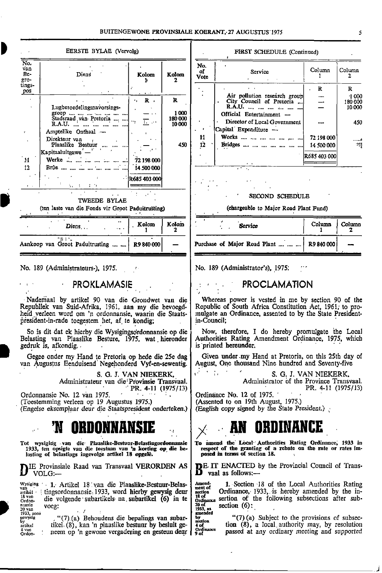| $\overline{\text{No}}$ .<br>No.<br>van<br>of<br>Service<br>Be-<br>Diens<br>Kolom<br>Kolom<br><b>Vote</b><br>gro-<br>tings-<br>$\mathbf{R}$<br>pos<br>$\sim$ 1.4 $\sim$<br>Air pollution research group<br>R<br>$\mathbf{R}$<br>City Council of Pretoria<br>٠.<br>R.A.U.<br>Lugbesoedelingsnavorsings-<br>$\epsilon$<br>1000<br>groep         <br>Official Entertainment -<br>Stadsraad van Pretoria ,<br>180 000<br>Director of Local Government<br>17. AM<br>10 000<br>Capital Expenditure -<br>Amptelike Onthaal - | EERSTE BYLAE (Vervolg) |    | FIRST SCHEDULE (Continued) |                                          |                |
|----------------------------------------------------------------------------------------------------------------------------------------------------------------------------------------------------------------------------------------------------------------------------------------------------------------------------------------------------------------------------------------------------------------------------------------------------------------------------------------------------------------------|------------------------|----|----------------------------|------------------------------------------|----------------|
|                                                                                                                                                                                                                                                                                                                                                                                                                                                                                                                      |                        |    |                            | Column                                   | Colu           |
|                                                                                                                                                                                                                                                                                                                                                                                                                                                                                                                      |                        |    |                            |                                          | $\mathbb R$    |
| Direkteur van<br>Bridges        <br>Plaaslike Bestuur<br>450<br>12<br>Kapitaaluitgawe —<br>$^{\circ}$ M $^{\circ}$<br>Werke<br>72 198 000                                                                                                                                                                                                                                                                                                                                                                            |                        | 11 | Works      ,               | 72 198 000<br>14 500 000<br>R685 403 000 | 1<br>180<br>10 |
| $\mathbf{r}$<br>$12 \,$<br>14 500 000<br>75.62                                                                                                                                                                                                                                                                                                                                                                                                                                                                       |                        |    |                            |                                          |                |
| $\sim 10^{-11}$<br>R685403000<br>私 まっすり<br>$\mathbf{z} = \mathbf{z}$<br>$STOMD$ scurpling<br><b>Service</b>                                                                                                                                                                                                                                                                                                                                                                                                          |                        |    |                            |                                          |                |

TWEEDE BYLAE

, .

| $\mathbf{Diens}$                               | $\bullet$ | Kolom Kolom |  |                        | Service |
|------------------------------------------------|-----------|-------------|--|------------------------|---------|
| Aankoop van Groot Paduitrusting     R9 840 000 |           |             |  | Purchase of Major Road |         |

No. <sup>189</sup> (Administrateurs-), 1975. . No. <sup>189</sup> (Administrator's), 1975: "'

0

i

,

4 van<br>Ordon-

•

**PROKLAMASIE**  $\epsilon$ 

Republiek van Suid-Afrika, 1961, aan my die bevoegd- Republic of South Africa Constitution Act, 1961, to pro-<br>heid verleen word om 'n ordonnansie, waarin die Staats- mulgate an Ordinance, assented to by the State President heid verleen word om 'n ordonnansie, waarin die Staats- mulgate an president-in-rade toegestem het, af te kondig: in-Council; president-in-rade toegestem het, af te kondig; in-Council;

Belasting van Plaaslike Besture, 1975, wat hieronder gedruk is, afkondig. . . is 'printed hereunder.

van Augustus Eenduisend Negehonderd Vyf-en-sewentig.

S. G. J. VAN NIEKERK, Administrateur van die Provinsie Transvaal. Administrator of the Province Transvaal.<br>PR. 4-11 (1975/13) PR. 4-11 (1975/13) PR. 4-11 (1975/13)

Ordonnansie No. 12 van 1975. - ' ; (Toestemming verleen op 19 Augustus 1975.) (Engelse eksemplaar deur die Staatspresident onderteken.) (English copy signed by the State President.)

# 'N ORDONNANSIE  $\big| \big\rangle$

lasting of belastings ingevolge artikel 18 opgele. posed in terms of section 18.

 $\mathbf{D}$  volg:—  $\mathbf{D}$  vaal as follows:—

Wysiging 1. Artikel 18 van die Plaaslike-Bestuur-Belas- Amend- $\frac{\text{v}}{\text{arit} \cdot \text{arit}}$  : tingsordonnansie: 1933, word hierby gewysig deur  $\frac{\text{arit} \cdot \text{arit}}{\text{arit} \cdot \text{arit}}$  Ordinance, 1933, is hereby amended by the inerne die volgende subartikels na subartikel (6) in te P, mansie voeg:<br>20 van 1933, soos ,

neem op 'n gewone vergadering en gesteun dear |

| Diens                      | Kolom              | Kolom   | No.<br>of<br><b>Vote</b> | Service                                                       | Column       | Column        |
|----------------------------|--------------------|---------|--------------------------|---------------------------------------------------------------|--------------|---------------|
|                            |                    |         |                          |                                                               | R            |               |
|                            | $\sim$ 1.4 $\sim$  |         |                          | Air pollution research group                                  |              | 1000          |
|                            | $\mathbf{R}$<br>٠. | R       |                          | City Council of Pretoria                                      |              | 180000        |
| Lugbesoedelingsnavorsings- |                    |         |                          | R.A.U.                                                        |              | 10000         |
| $group            $        |                    | 1000    |                          | Official Entertainment -                                      |              |               |
| Stadsraad van Pretoria ,   | <b>Louise</b>      | 180 000 |                          | Director of Local Government                                  |              | 450           |
| R.A.U.                     |                    | 10 000  |                          | Capital Expenditure -                                         |              |               |
| mptelike Onthaal —         |                    |         |                          |                                                               |              |               |
| irekteur van               |                    |         | 11                       | Works      ,                                                  | 72 198 000   |               |
| Plaaslike Bestuur          |                    | 450     | 12                       | Bridges                                                       | 14 500 000   | $\mathcal{A}$ |
| itaaluiteawe —             |                    |         |                          |                                                               |              |               |
| erke                       | 72 198 000         |         |                          |                                                               | R685 403 000 |               |
|                            | 14 500 000         |         |                          | $\mathbf{r}$                                                  |              |               |
|                            |                    |         |                          | $\mathcal{L}^{\text{max}}$ , where $\mathcal{L}^{\text{max}}$ |              |               |

.

. .

.

.

 $\mathcal{F} = \frac{1}{2} \frac{1}{2}$ 

.

.

SECOND SCHEDULE

#### (ten laste van die Fonds vir Groot Paduitrusting) (chargeable to Major Road Plant Fund)

| Kolom        | Kolom  | Service                                      | Column | Column |
|--------------|--------|----------------------------------------------|--------|--------|
| R9 840 000 l | $\sim$ | Purchase of Major Road Plant      R9 840 000 |        |        |

#### . • • PROCLAMATION . , •

Nadeniaal by artikel 90 van die Grondwet van die Whereas power is vested in me by section 90 of the

So is dit dat ek hierby die Wysigingsordonnansie op die Now, therefore, I do hereby promulgate 'the Local<br>Iasting van Plaaslike Besture, 1975, wat hieronder Authorities Rating Amendment Ordinance, 1975, which

Gegee onder my Hand te Pretoria op hede die 25e dag Given under my Hand at Pretoria, on this 25th day of n<br>Augustus Eenduisend Negehonderd Vyf-en-sewentig. August, One thousand Nine hundred and Seventy-five

S. G. J. VAN NIEKERK,<br>Administrator of the Province Transvaal.

Ordinance No. 12 of 1975.<br>(Assented to on 19th August, 1975.)

# .. AN ORDINANCE

Tot wysiging van die Plaaslike-Bestuur-Belastingordonnansie To amend the Local Authorities Rating Ordinance, 1933 in<br>1933, ten opsigte van die toestaan van 'n korting op die be- te respect of the granting of a rebate on th

E Provinsiale Raad van Transvaal VERORDEN AS DE. IT ENACTED by the Provincial Council of Trans-<br>VOLG:—

Amend-<br>nent of **1.** Section 18 of the Local Authorities Rating<br>section Ordinance, 1933, is hereby amended by the insection Ordinance, 1933, is hereby amended by the in-<br>18 of marce sertion of the following subsections after sub-20 of<br>1933, as<br>amended section  $(6)$ : . .

"(7) (a) Behoudens die bepalings van subar-<br>
ersion (8), a local authority may, by resolution<br>
em op 'n gewone vergadering en gesteun deur  $\begin{cases} \frac{dx}{d\theta} & (7)$  (a) Subject to the provisions of subsec-<br>
em op 'n gewone ver tikel (8), kan 'n plaaslike bestuur by besluit ge-  $\begin{bmatrix} 4 \text{ of} \\ 4 \text{ of} \\ 9 \text{ of} \end{bmatrix}$  tion (8), a local authority may, by resolution neem op 'n gewone vergadering en gesteun deur  $\begin{bmatrix} 9 \text{ of} \\ 9 \text{ of} \end{bmatrix}$  passed at

J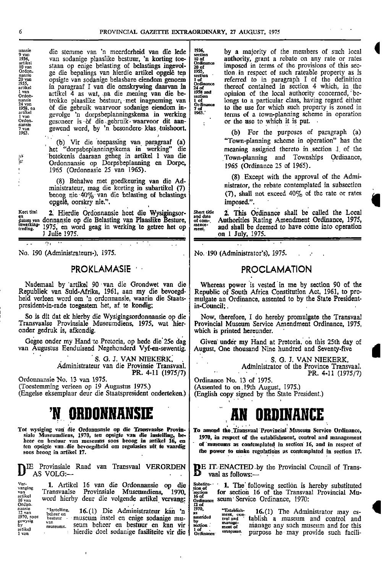1 of<br>Ordinance<br>24 of<br>2958 and<br>section<br>1 of<br>Ordinance<br>7 of<br>1963.

• . . .. .. .

.

• ••

.

nansie die stemme van 'n meerderheid van die lede 1936,<br>
1936, van sodanige plaaslike bestuur, 'n korting toe-<br>
10 van staan op enige belasting of belastings ingevol-<br>
ordinance<br>
mansie ge die bepalings van hierdie artikel artikel<br>10 van staan op enige belasting of belastings ingevol- 20 of imposed in terms of the provisions of this sec-Ordon. ge die bepalings van hierdie artikel opgelê ten  $\frac{1955}{100}$ , tion in respect of such rateable property as is negarie van sodanige belasbare eiendom genoem. The referred to in paragraph I of the definition is not <sup>20</sup> van opsigte van sodanige belasbare eiendom genoem is of the referred to in paragraph I of the definition in paragraaf I van die omskrywing daarvan in  $\frac{1}{24 \text{ of}}$  ordinance is thereof contained in section 4 which, i 1955, • Ordinance artikel in paragraaf I van die omskrywing daarvan m <sup>24</sup> of thereof contained in section <sup>4</sup> which, in the <sup>1 van</sup><br>
ordon-<br>
ordon-<br>
ordon-<br>
ordon-<br>
ordon-<br>
ordon-<br>
ordon-<br>
ordon-<br>
ordon-<br>
ordon-<br>
ordon-<br>
ordon-<br>
ordon-<br>
ordon-<br>
ordon-<br>
ordon-<br>
ordon-<br>
ordon-<br>
ordon-<br>
ordon-<br>
ordon-<br>
ordon-<br>
ordon-<br>
ordon-<br>
ordon-<br>
ordon-<br>
ordon of die gebruik waarvoor sodanige eiendom inartikel gevolge 'n dorpsbeplanningskema in werking <sup>1963</sup>: terms of a town-planning scheme in operation gesoneer is 'of die..gebruik waarvoor dit aan- $\vert$ gewend word, by 'n besondere klas tuishoort.

het "dorpsbeplanningskema in werking" die meaning assigned thereto in section 1 of the<br>
2.7 Ordonnansie op Dorpsbeplanning en Dorpe, 1965 (Ordinance 25 of 1965) , <sup>1965</sup> (Ordonnasie <sup>25</sup> van 1965). <sup>1965</sup> (Ordinance <sup>25</sup> of 1965).

beoog nie 40% van die belasting of belastings (7), shall not exceed 40% or rate or rate or rate or rate or rate or rate or  $(7)$ , shall not exceed  $(7)$ , shall not exceed  $(7)$ . opgelê, oorskry nie.". ,

Kort titel 2. Hierdie Ordonnansie heet die Wysigingsor- short title 2. This Ordinance shall be called the Local and date and date and date and date and date and date in the called the Local and date and date and the short en and date de provident van de datum van de verwyliging van Plaaslike Besture, of communisties Rating Amendment Ordinance, 1975, treding. 1975, en word geag in werking 'te getree het op rerI"r" and shall be deemed to have come into operation . . • . 1 Julie 1975. **Contract 1975. on 1 July, 1975.** 

# PROKLAMASIE •

Nademaal by artikel 90 van die Grondwet van die Whereas power Republiek van Suid-Afrika, 1961, aan my die bevoegd- Republic of South Africa Constitution Act, 1961, to proheid verleen word om 'n ordonnansie, waarin die Staats- | mulgate an Ordinance, assented to by the State Presidentpresident-in-rade toegestem het, af te kondig; in-Council;

So is dit dat ek hierby die Wysigingsordonnansie op die Now, therefore, I do hereby promulgate the Transvaal<br>Transvaalse Provinsiale Museumdiens, 1975, wat hier-Provincial Museum Service Amendment Ordinance, 1975. Transvaalse Provinsiale Museumdiens, 1975, wat hier- Provincial Museum Service Amendment Ordinance, 1975,

Gegee onder my Hand te Pretoria, op hede die 25e dag van Augustus Eenduisend Negehonderd Vyf-en-sewentig.

S. G. J. VAN NIEKERK . Administrateur van die Provinsie Transvaal.

(Engelse eksemplaar deur die Staatspresident onderteken.)

.

# ORDONNANS

Tot wysiging van die Ordonnansie op die Transvaalse Provin- To amend the.Tiansvaal 'Provincial Museum Service Ordinance,

 $\mathbf{D}^+$ Provinsiale Raad van Transvaal VERORDEN AS VOLG:—  $\blacksquare$   $\blacksquare$  vaal as follows:—

| Ver-<br>vanging<br>van<br>artikel<br>16 van<br>Ordon-               | 1. Artikel 16 van die Ordonnansie<br>die<br>- OD<br>Provinsiale Museumdiens.<br>Transvaalse<br>1970.<br>word hierby deur die volgende artikel vervang:                                                                      | Substitu -<br>tion of<br>section<br>16 of<br>Ordinance<br>12 of | The<br>sectio<br>for<br>seum Ser                                       |
|---------------------------------------------------------------------|-----------------------------------------------------------------------------------------------------------------------------------------------------------------------------------------------------------------------------|-----------------------------------------------------------------|------------------------------------------------------------------------|
| nansie<br>12 van<br>1970, soos<br>gewysig<br>bу<br>artikel<br>1 van | "Instelling.<br>Die Administrateur kan 'n<br>16.(1)<br>beheer en<br>museum instel en enige sodanige mu-<br>bestuur<br>van<br>seum beheer en bestuur en kan<br>vir.<br>museums.<br>hierdie doel sodanige fasiliteite vir die | 1970.<br>amended<br>Ъy<br>section<br>l of<br>Ordinance          | "Establish-<br>ment, con<br>trol and<br>manage-<br>ment of<br>museums. |

,

by a majority of the members of such local authority, grant a rebate on any rate or rates imposed in terms of the provisions of this sec-1958 and opinion of the local authority concerned, betrokke plaaslike bestuur, met inagneming van  $\begin{bmatrix} 1 & 1 \\ 0 & 1 \end{bmatrix}$  longs to a particular class, having regard either to the use for which such property is zoned in terms of a town-planning scheme in operation or the use to which it is put.

- -

1963. (b) For the purposes of paragraph (a) (b) Vir die toepassing van paragraaf (a) "Town-planning scheme in operation" has the Town-planning and Townships Ordinance, 1965 (Ordinance 25 of 1965).

(8) Except with the approval of the Admi- (8) Behalwe met goedkeuring van die Ad-<br>
ministrateur, mag die korting in subartikel (7) nistrator, the rebate contemplated in subsection<br>
behalwe nie 40% van die belasting of belastings (7), shall not exceed 40% of the r

2. This Ordinance shall be called the Local

No. 190 (Administrateurs-), 1975. . No. 190 (Administrator's). 1975. . .. .

# **PROCLAMATION**

.

is vested in me by section 90 of the .

which is printed hereunder.

Given under my Hand at Pretoria, on this 25th day of August, One thousand Nine hundred and Seventy-five

• S. G. J. VAN NIEKERK,

.

Administrator of the Province Transvaal. PR. 4-11 (1975/7)

Ordonnansie No. 13 van 1975.<br>
(Toestemming verleen op 19 Augustus 1975.) (Assented to on 19th August, 1975.) (Toestemming verleen op 19 Augustus 1975.) (Assented to on .19th August, 1975.)

# **ORDINAN**

 $\mathbf{r}$  .  $\mathbf{r}$ siale Museumdiens, 1970, ten opsigte van die instelling, he- 1970, in respect of the establishment, control and management heer en bestuur van museums soos beoog in artikel 16, en  $\sim$  -streams-necessarily in article and ten opsigte van die bevoegdheid om regulasies uit te vaardig of museums as contemplated in section 16, and in respect of soos beoog in artikel 17. the power to make regulations as contemplated in section 17. . . . .

> $\mathbf{D}$   $\mathbf{v}_{\text{az}}$ -ENACIED.by the Provincial Council of Trans-

 $\frac{1}{\log n}$  1. Artikel 16 van die Ordonnansie op die substituted is hereby substituted section for section 16 of the Transvaal Provincial Museum Service Ordinance, 1970: of<br>Ordinance<br>12 of<br>1970,

manage-<br>ment of

1970. "Establish-<br>
as ment, con-<br>
trol and tablish a museum and control and<br>
by<br>
section I manage any such museum and for this tablish a museum and control and section manage any such museum and for this lordinance museums. purpose he may provide such facilipurpose he may provide such facili-

nansie<br>7 van<br>1963.

4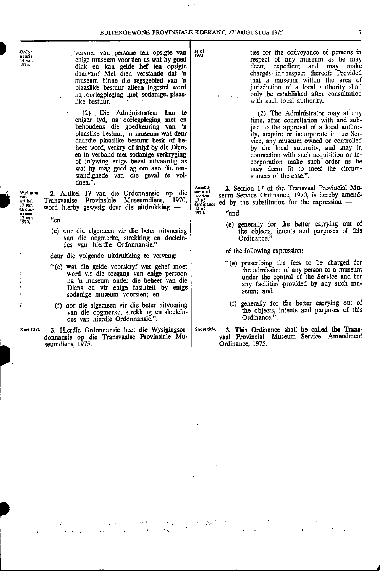• -

| Ordon.<br>nansie<br>14 yan<br>1973                                          | vervoer van persone ten opsigte van<br>enige museum voorsien as wat hy goed<br>dink en kan gelde hef ten opsigte<br>daarvan: Met dien verstande dat 'n<br>museum binne die regsgebied van 'n<br>plaaslike bestuur alleen ingestel word<br>na corlegpleging met sodanige plaas-<br>like bestuur.                                                                                                    | 14 of<br>ties for the conveyance of persons in<br>1973.<br>respect of any museum as he may<br>expedient and may make<br>deem<br>charges in respect thereof: Provided<br>that a museum within the area of<br>jurisdiction of a local authority shall<br>only be established after consultation<br>with such local authority.                                                                  |
|-----------------------------------------------------------------------------|----------------------------------------------------------------------------------------------------------------------------------------------------------------------------------------------------------------------------------------------------------------------------------------------------------------------------------------------------------------------------------------------------|----------------------------------------------------------------------------------------------------------------------------------------------------------------------------------------------------------------------------------------------------------------------------------------------------------------------------------------------------------------------------------------------|
|                                                                             | (2) Die Administrateur kan te<br>eniger tyd, na oorlegpleging met en<br>behoudens die goedkeuring van 'n<br>plaaslike bestuur, 'n museum wat deur<br>daardie plaaslike bestuur besit of be-<br>heer word, verkry of inlyf by die Diens<br>en in verband met sodanige verkryging<br>of inlywing enige bevel uitvaardig as<br>wat hy mag goed ag om aan die om-<br>standighede van die geval te vol- | (2) The Administrator may at any<br>time, after consultation with and sub-<br>ject to the approval of a local author-<br>ity, acquire or incorporate in the Ser-<br>vice, any museum owned or controlled<br>by the local authority, and may in<br>connection with such acquisition or in-<br>corporation make such order as he<br>may deem fit to meet the circum-<br>stances of the case.". |
| <b>Wysiging</b><br>van<br>artikel<br>$17$ van<br>Ordon-<br>nansie<br>12 van | doen".<br>2. Artikel 17 van die Ordonnansie op die<br>Transvaalse Provinsiale Museumdiens, 1970,<br>word hierby gewysig deur die uitdrukking -                                                                                                                                                                                                                                                     | 2. Section 17 of the Transvaal Provincial Mu-<br>Amend-<br>ment of<br>seum Service Ordinance, 1970, is hereby amend-<br>section<br>17 of<br>ed by the substitution for the expression $-$<br>Ordinance<br>I2 of<br>"and<br>1970.                                                                                                                                                             |
| 1970.                                                                       | "en<br>(e) oor die algemeen vir die beter uitvoering<br>van die oogmerke, strekking en doelein-<br>des van hierdie Ordonnansie."                                                                                                                                                                                                                                                                   | (e) generally for the better carrying out of<br>the objects, intents and purposes of this<br>Ordinance."                                                                                                                                                                                                                                                                                     |
|                                                                             | deur die volgende uitdrukking te vervang:                                                                                                                                                                                                                                                                                                                                                          | of the following expression:                                                                                                                                                                                                                                                                                                                                                                 |
|                                                                             | "(e) wat die gelde voorskryf wat gehef moet<br>word vir die toegang van enige persoon<br>na 'n museum onder die beheer van die<br>Diens en vir enige fasiliteit by enige<br>sodanige museum voorsien; en                                                                                                                                                                                           | "(e) prescribing the fees to be charged for<br>the admission of any person to a museum<br>under the control of the Service and for<br>any facilities provided by any such mu-<br>seum; and                                                                                                                                                                                                   |
|                                                                             | oor die algemeen vir die beter uitvoering<br>(f)                                                                                                                                                                                                                                                                                                                                                   | (f) generally for the better carrying out of                                                                                                                                                                                                                                                                                                                                                 |

- des van hierdie Ordonnansie.". Ordinance.".
- Kort titel. 3. Hierdie Ordonnansie heet die Wysigingsor- Short title. 3. This Ordinance shall be called the Transseumdiens, 1975. **I** Crimance, 1975.

1!Iii

 $\mathcal{A}$ 

- 
- the admission of any person to a museum under the control of the Service and for
- (f) oor die algemeen vir die beter uitvoering (f) generally for the better carrying out of (f) generally for the better carrying out of the objects, intents and purposes of this Ordinance.".
	- 3. This Ordinance shall be called the Transvaal Provincial Museum Service Amendment<br>Ordinance, 1975.

A

. .  $\Delta\sigma_{\rm{gas}}$ . . - • . • - • . . •

- - - -

. • •

• .